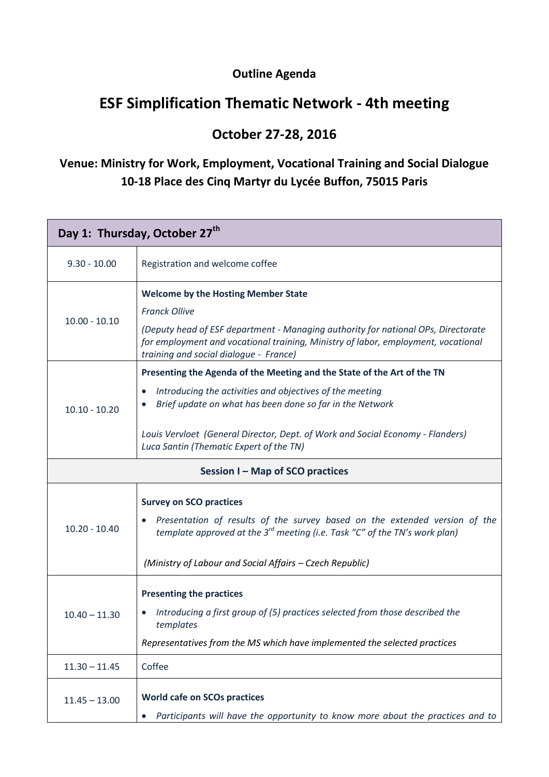#### **Outline Agenda**

## **ESF Simplification Thematic Network - 4th meeting**

#### **October 27-28, 2016**

### **Venue: Ministry for Work, Employment, Vocational Training and Social Dialogue 10-18 Place des Cinq Martyr du Lycée Buffon, 75015 Paris**

| Day 1: Thursday, October 27 <sup>th</sup> |                                                                                                                                                                                                                  |  |
|-------------------------------------------|------------------------------------------------------------------------------------------------------------------------------------------------------------------------------------------------------------------|--|
| $9.30 - 10.00$                            | Registration and welcome coffee                                                                                                                                                                                  |  |
| $10.00 - 10.10$                           | <b>Welcome by the Hosting Member State</b>                                                                                                                                                                       |  |
|                                           | <b>Franck Ollive</b>                                                                                                                                                                                             |  |
|                                           | (Deputy head of ESF department - Managing authority for national OPs, Directorate<br>for employment and vocational training, Ministry of labor, employment, vocational<br>training and social dialogue - France) |  |
| $10.10 - 10.20$                           | Presenting the Agenda of the Meeting and the State of the Art of the TN                                                                                                                                          |  |
|                                           | Introducing the activities and objectives of the meeting<br>Brief update on what has been done so far in the Network                                                                                             |  |
|                                           | Louis Vervloet (General Director, Dept. of Work and Social Economy - Flanders)<br>Luca Santin (Thematic Expert of the TN)                                                                                        |  |
| Session I - Map of SCO practices          |                                                                                                                                                                                                                  |  |
| $10.20 - 10.40$                           | <b>Survey on SCO practices</b>                                                                                                                                                                                   |  |
|                                           | Presentation of results of the survey based on the extended version of the<br>template approved at the $3^{rd}$ meeting (i.e. Task "C" of the TN's work plan)                                                    |  |
|                                           | (Ministry of Labour and Social Affairs - Czech Republic)                                                                                                                                                         |  |
| $10.40 - 11.30$                           | <b>Presenting the practices</b>                                                                                                                                                                                  |  |
|                                           | Introducing a first group of (5) practices selected from those described the<br>templates                                                                                                                        |  |
|                                           | Representatives from the MS which have implemented the selected practices                                                                                                                                        |  |
| $11.30 - 11.45$                           | Coffee                                                                                                                                                                                                           |  |
| $11.45 - 13.00$                           | <b>World cafe on SCOs practices</b>                                                                                                                                                                              |  |
|                                           | Participants will have the opportunity to know more about the practices and to                                                                                                                                   |  |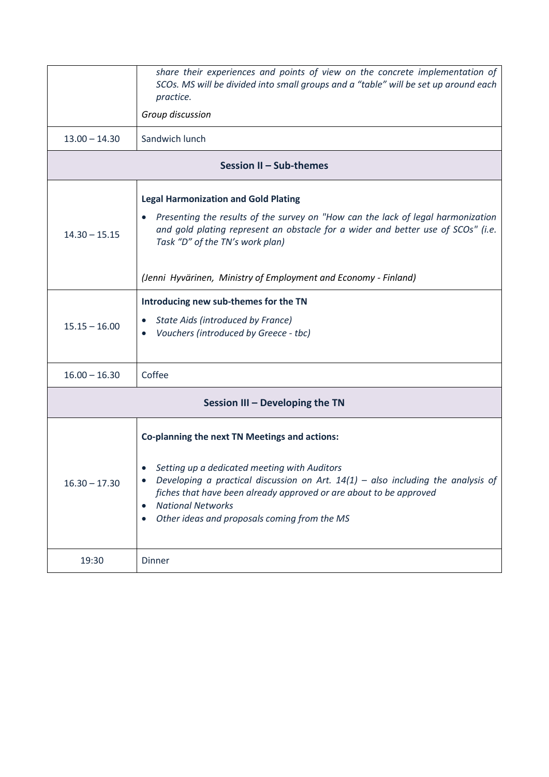|                                 | share their experiences and points of view on the concrete implementation of<br>SCOs. MS will be divided into small groups and a "table" will be set up around each<br>practice.<br>Group discussion                                                                                                                                  |  |
|---------------------------------|---------------------------------------------------------------------------------------------------------------------------------------------------------------------------------------------------------------------------------------------------------------------------------------------------------------------------------------|--|
| $13.00 - 14.30$                 | Sandwich lunch                                                                                                                                                                                                                                                                                                                        |  |
| Session II - Sub-themes         |                                                                                                                                                                                                                                                                                                                                       |  |
| $14.30 - 15.15$                 | <b>Legal Harmonization and Gold Plating</b><br>Presenting the results of the survey on "How can the lack of legal harmonization<br>and gold plating represent an obstacle for a wider and better use of SCOs" (i.e.<br>Task "D" of the TN's work plan)<br>(Jenni Hyvärinen, Ministry of Employment and Economy - Finland)             |  |
| $15.15 - 16.00$                 | Introducing new sub-themes for the TN<br>State Aids (introduced by France)<br>Vouchers (introduced by Greece - tbc)                                                                                                                                                                                                                   |  |
| $16.00 - 16.30$                 | Coffee                                                                                                                                                                                                                                                                                                                                |  |
| Session III - Developing the TN |                                                                                                                                                                                                                                                                                                                                       |  |
| $16.30 - 17.30$                 | Co-planning the next TN Meetings and actions:<br>Setting up a dedicated meeting with Auditors<br>Developing a practical discussion on Art. $14(1)$ – also including the analysis of<br>fiches that have been already approved or are about to be approved<br><b>National Networks</b><br>Other ideas and proposals coming from the MS |  |
| 19:30                           | Dinner                                                                                                                                                                                                                                                                                                                                |  |